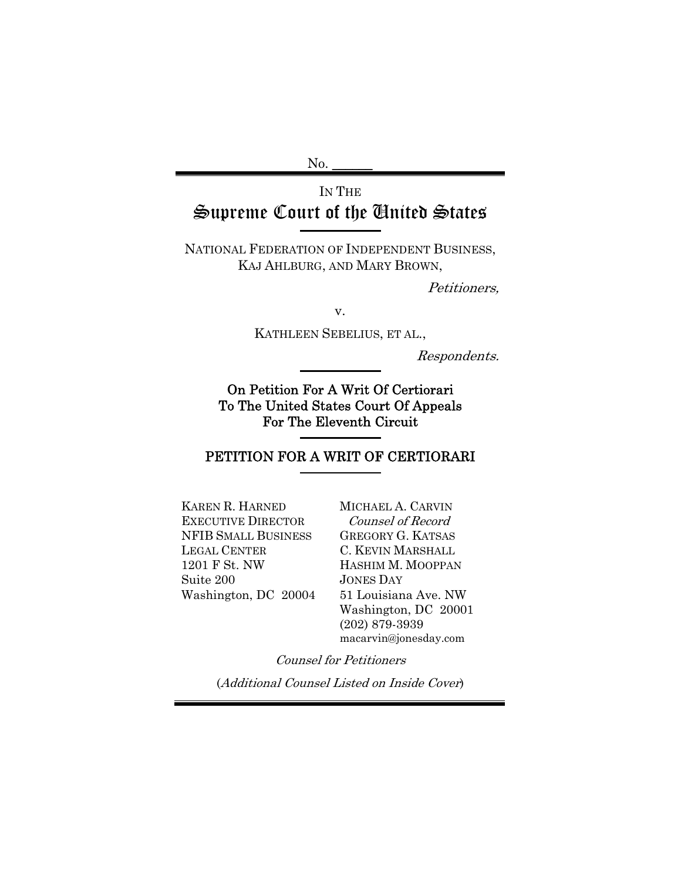$No.$ 

# IN THE Supreme Court of the United States

NATIONAL FEDERATION OF INDEPENDENT BUSINESS, KAJ AHLBURG, AND MARY BROWN,

Petitioners,

v.

KATHLEEN SEBELIUS, ET AL.,

Respondents.

On Petition For A Writ Of Certiorari To The United States Court Of Appeals For The Eleventh Circuit

## PETITION FOR A WRIT OF CERTIORARI

KAREN R. HARNED EXECUTIVE DIRECTOR NFIB SMALL BUSINESS LEGAL CENTER 1201 F St. NW Suite 200 Washington, DC 20004 MICHAEL A. CARVIN Counsel of Record GREGORY G. KATSAS C. KEVIN MARSHALL HASHIM M. MOOPPAN JONES DAY 51 Louisiana Ave. NW Washington, DC 20001 (202) 879-3939 macarvin@jonesday.com

Counsel for Petitioners

(Additional Counsel Listed on Inside Cover)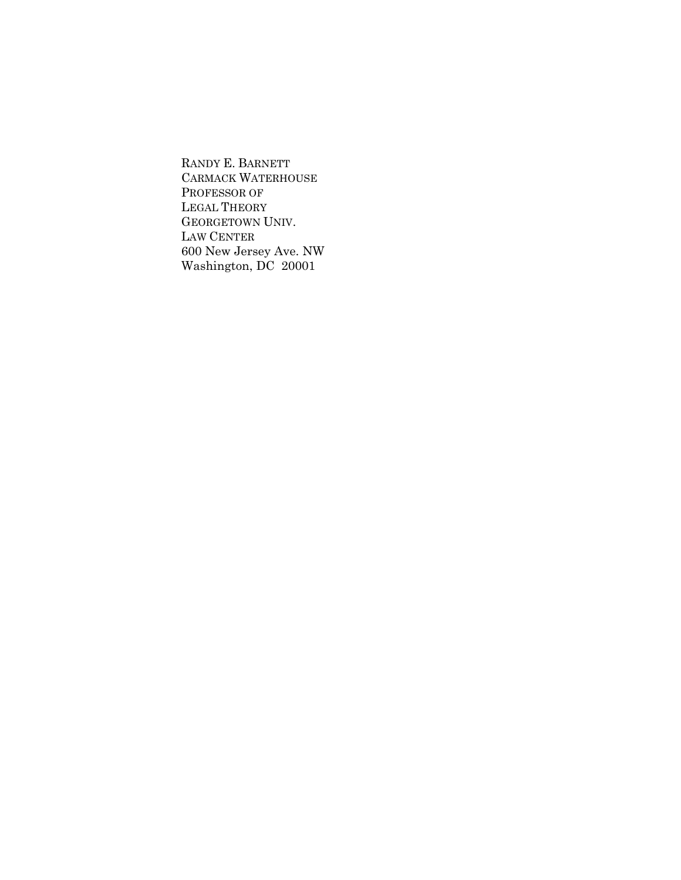RANDY E. BARNETT CARMACK WATERHOUSE PROFESSOR OF LEGAL THEORY GEORGETOWN UNIV. LAW CENTER 600 New Jersey Ave. NW Washington, DC 20001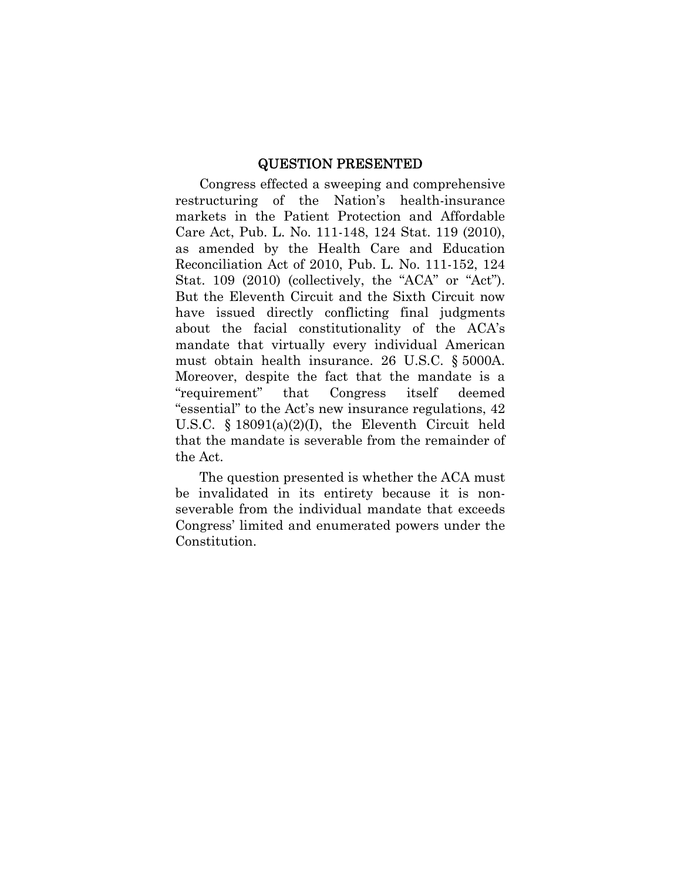#### QUESTION PRESENTED

Congress effected a sweeping and comprehensive restructuring of the Nation's health-insurance markets in the Patient Protection and Affordable Care Act, Pub. L. No. 111-148, 124 Stat. 119 (2010), as amended by the Health Care and Education Reconciliation Act of 2010, Pub. L. No. 111-152, 124 Stat. 109 (2010) (collectively, the "ACA" or "Act"). But the Eleventh Circuit and the Sixth Circuit now have issued directly conflicting final judgments about the facial constitutionality of the ACA's mandate that virtually every individual American must obtain health insurance. 26 U.S.C. § 5000A. Moreover, despite the fact that the mandate is a "requirement" that Congress itself deemed "essential" to the Act's new insurance regulations, 42 U.S.C. § 18091(a)(2)(I), the Eleventh Circuit held that the mandate is severable from the remainder of the Act.

The question presented is whether the ACA must be invalidated in its entirety because it is nonseverable from the individual mandate that exceeds Congress' limited and enumerated powers under the Constitution.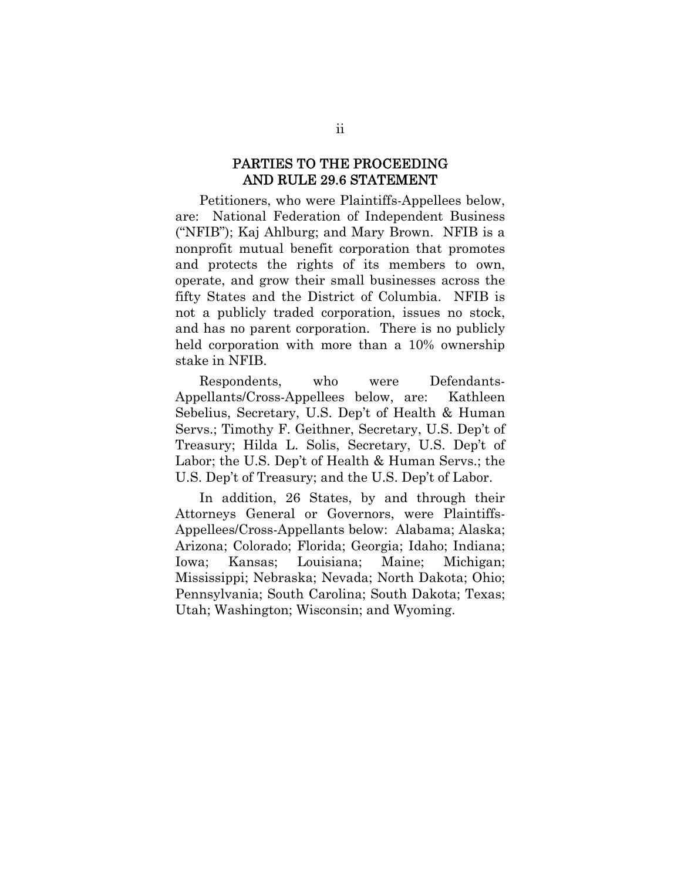#### PARTIES TO THE PROCEEDING AND RULE 29.6 STATEMENT

Petitioners, who were Plaintiffs-Appellees below, are: National Federation of Independent Business ("NFIB"); Kaj Ahlburg; and Mary Brown. NFIB is a nonprofit mutual benefit corporation that promotes and protects the rights of its members to own, operate, and grow their small businesses across the fifty States and the District of Columbia. NFIB is not a publicly traded corporation, issues no stock, and has no parent corporation. There is no publicly held corporation with more than a 10% ownership stake in NFIB.

Respondents, who were Defendants-Appellants/Cross-Appellees below, are: Kathleen Sebelius, Secretary, U.S. Dep't of Health & Human Servs.; Timothy F. Geithner, Secretary, U.S. Dep't of Treasury; Hilda L. Solis, Secretary, U.S. Dep't of Labor; the U.S. Dep't of Health & Human Servs.; the U.S. Dep't of Treasury; and the U.S. Dep't of Labor.

In addition, 26 States, by and through their Attorneys General or Governors, were Plaintiffs-Appellees/Cross-Appellants below: Alabama; Alaska; Arizona; Colorado; Florida; Georgia; Idaho; Indiana; Iowa; Kansas; Louisiana; Maine; Michigan; Mississippi; Nebraska; Nevada; North Dakota; Ohio; Pennsylvania; South Carolina; South Dakota; Texas; Utah; Washington; Wisconsin; and Wyoming.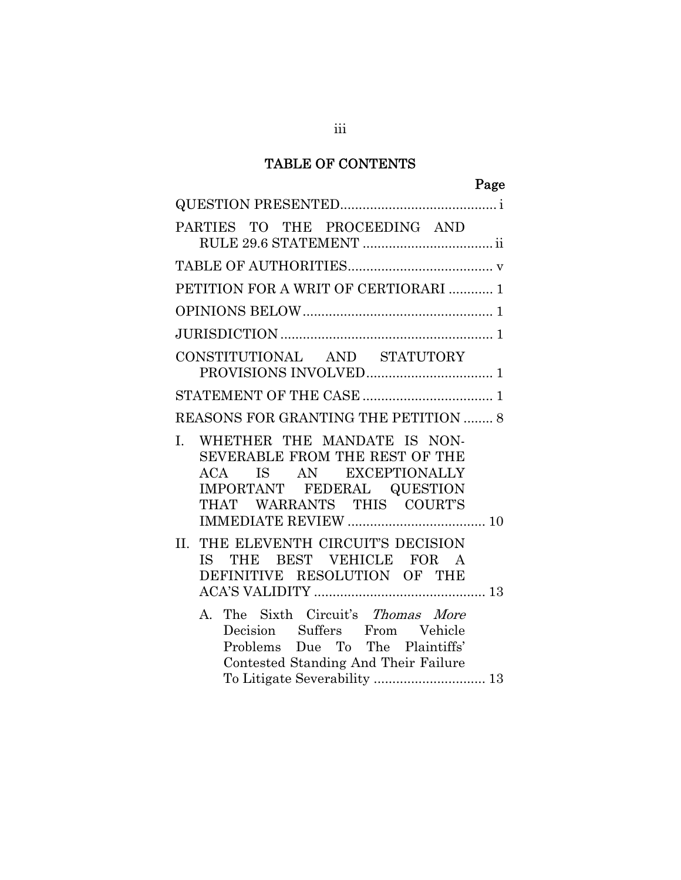## TABLE OF CONTENTS

# Page

| PARTIES TO THE PROCEEDING AND                                                                                                                               |
|-------------------------------------------------------------------------------------------------------------------------------------------------------------|
|                                                                                                                                                             |
| PETITION FOR A WRIT OF CERTIORARI  1                                                                                                                        |
|                                                                                                                                                             |
|                                                                                                                                                             |
| CONSTITUTIONAL AND STATUTORY                                                                                                                                |
|                                                                                                                                                             |
| REASONS FOR GRANTING THE PETITION  8                                                                                                                        |
| WHETHER THE MANDATE IS NON-<br>L.<br>SEVERABLE FROM THE REST OF THE<br>ACA IS AN EXCEPTIONALLY<br>IMPORTANT FEDERAL QUESTION<br>THAT WARRANTS THIS COURT'S  |
| THE ELEVENTH CIRCUIT'S DECISION<br>II.<br>IS THE BEST VEHICLE FOR A<br>DEFINITIVE RESOLUTION OF THE                                                         |
| The Sixth Circuit's Thomas More<br>$\mathbf{A}$<br>Decision Suffers From Vehicle<br>Problems Due To The Plaintiffs'<br>Contested Standing And Their Failure |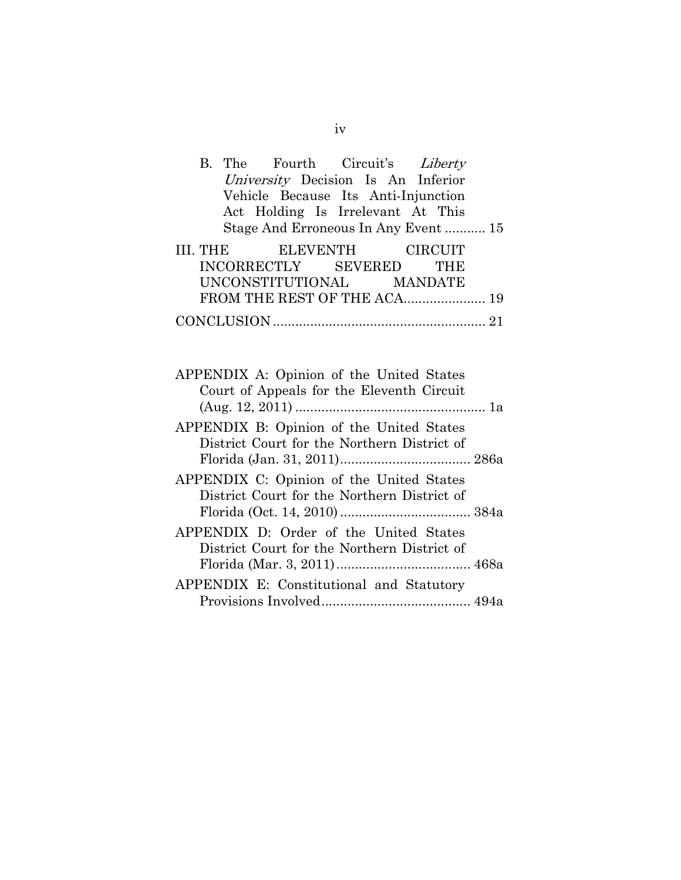|  | B. The Fourth Circuit's Liberty     |  |  |
|--|-------------------------------------|--|--|
|  | University Decision Is An Inferior  |  |  |
|  | Vehicle Because Its Anti-Injunction |  |  |
|  | Act Holding Is Irrelevant At This   |  |  |
|  | Stage And Erroneous In Any Event 15 |  |  |
|  | III. THE ELEVENTH CIRCUIT           |  |  |
|  | INCORRECTLY SEVERED THE             |  |  |
|  | UNCONSTITUTIONAL MANDATE            |  |  |
|  | FROM THE REST OF THE ACA 19         |  |  |
|  |                                     |  |  |

| APPENDIX A: Opinion of the United States    |  |
|---------------------------------------------|--|
| Court of Appeals for the Eleventh Circuit   |  |
|                                             |  |
| APPENDIX B: Opinion of the United States    |  |
| District Court for the Northern District of |  |
|                                             |  |
| APPENDIX C: Opinion of the United States    |  |
| District Court for the Northern District of |  |
|                                             |  |
| APPENDIX D: Order of the United States      |  |
| District Court for the Northern District of |  |
|                                             |  |
| APPENDIX E: Constitutional and Statutory    |  |
|                                             |  |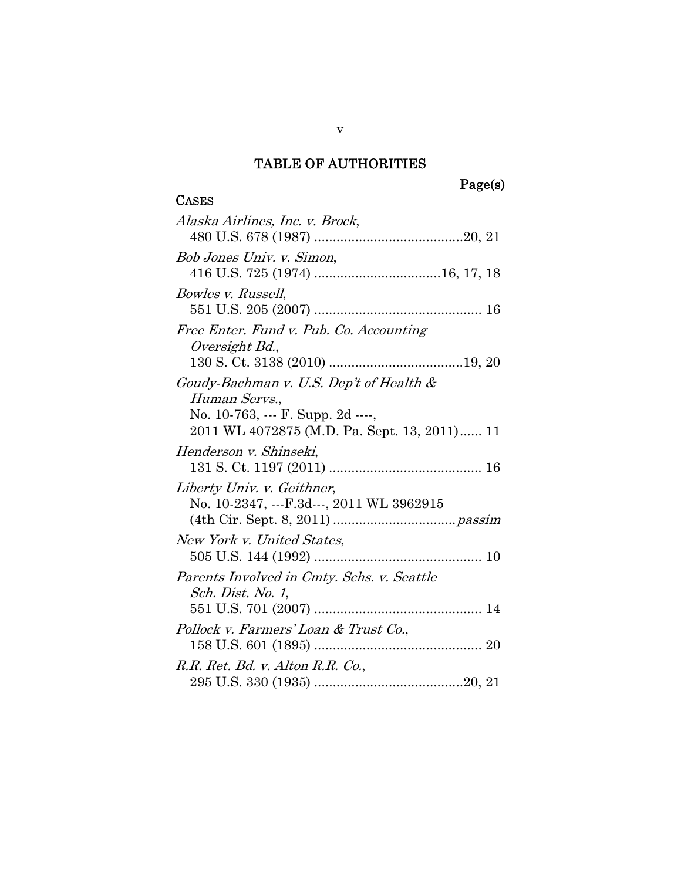#### TABLE OF AUTHORITIES

## Page(s)

## **CASES** Alaska Airlines, Inc. v. Brock, 480 U.S. 678 (1987) ........................................20, 21 Bob Jones Univ. v. Simon, 416 U.S. 725 (1974) .................................. 16, 17, 18 Bowles v. Russell, 551 U.S. 205 (2007) ............................................. 16 Free Enter. Fund v. Pub. Co. Accounting Oversight Bd., 130 S. Ct. 3138 (2010) ....................................19, 20 Goudy-Bachman v. U.S. Dep't of Health & Human Servs., No. 10-763, --- F. Supp. 2d ----, 2011 WL 4072875 (M.D. Pa. Sept. 13, 2011) ...... 11 Henderson v. Shinseki, 131 S. Ct. 1197 (2011) ......................................... 16 Liberty Univ. v. Geithner, No. 10-2347, ---F.3d---, 2011 WL 3962915 (4th Cir. Sept. 8, 2011) ................................. passim New York v. United States, 505 U.S. 144 (1992) ............................................. 10 Parents Involved in Cmty. Schs. v. Seattle Sch. Dist. No. 1, 551 U.S. 701 (2007) ............................................. 14 Pollock v. Farmers' Loan & Trust Co., 158 U.S. 601 (1895) ............................................. 20 R.R. Ret. Bd. v. Alton R.R. Co., 295 U.S. 330 (1935) ........................................20, 21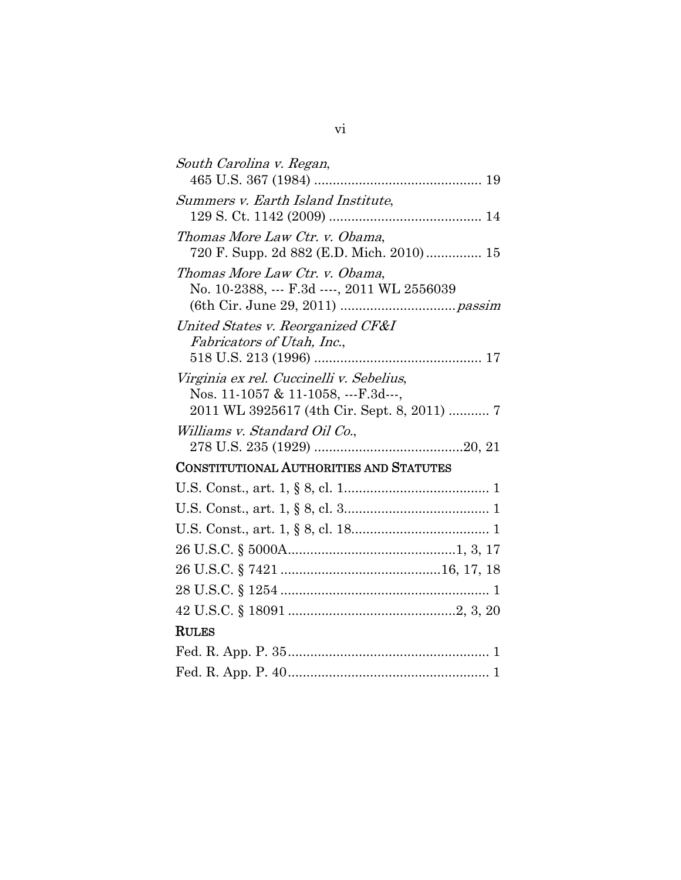| South Carolina v. Regan,                                        |
|-----------------------------------------------------------------|
|                                                                 |
| Summers v. Earth Island Institute,                              |
|                                                                 |
| Thomas More Law Ctr. v. Obama,                                  |
| 720 F. Supp. 2d 882 (E.D. Mich. 2010) 15                        |
| Thomas More Law Ctr. v. Obama,                                  |
| No. 10-2388, --- F.3d ----, 2011 WL 2556039                     |
|                                                                 |
| United States v. Reorganized CF&I<br>Fabricators of Utah, Inc., |
|                                                                 |
| Virginia ex rel. Cuccinelli v. Sebelius,                        |
| Nos. 11-1057 & 11-1058, ---F.3d---,                             |
| 2011 WL 3925617 (4th Cir. Sept. 8, 2011)  7                     |
| Williams v. Standard Oil Co.,                                   |
|                                                                 |
| <b>CONSTITUTIONAL AUTHORITIES AND STATUTES</b>                  |
|                                                                 |
|                                                                 |
|                                                                 |
|                                                                 |
|                                                                 |
|                                                                 |
|                                                                 |
| <b>RULES</b>                                                    |
|                                                                 |
|                                                                 |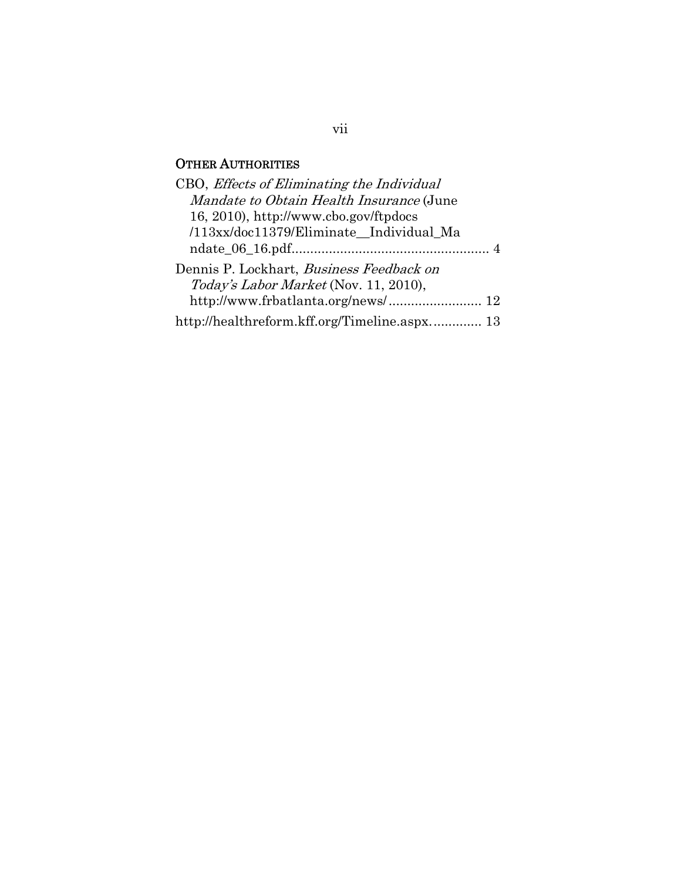## OTHER AUTHORITIES

| CBO, Effects of Eliminating the Individual   |
|----------------------------------------------|
| Mandate to Obtain Health Insurance (June     |
| 16, 2010), http://www.cbo.gov/ftpdocs        |
| /113xx/doc11379/Eliminate Individual Ma      |
|                                              |
| Dennis P. Lockhart, Business Feedback on     |
| Today's Labor Market (Nov. 11, 2010),        |
|                                              |
| http://healthreform.kff.org/Timeline.aspx 13 |

### vii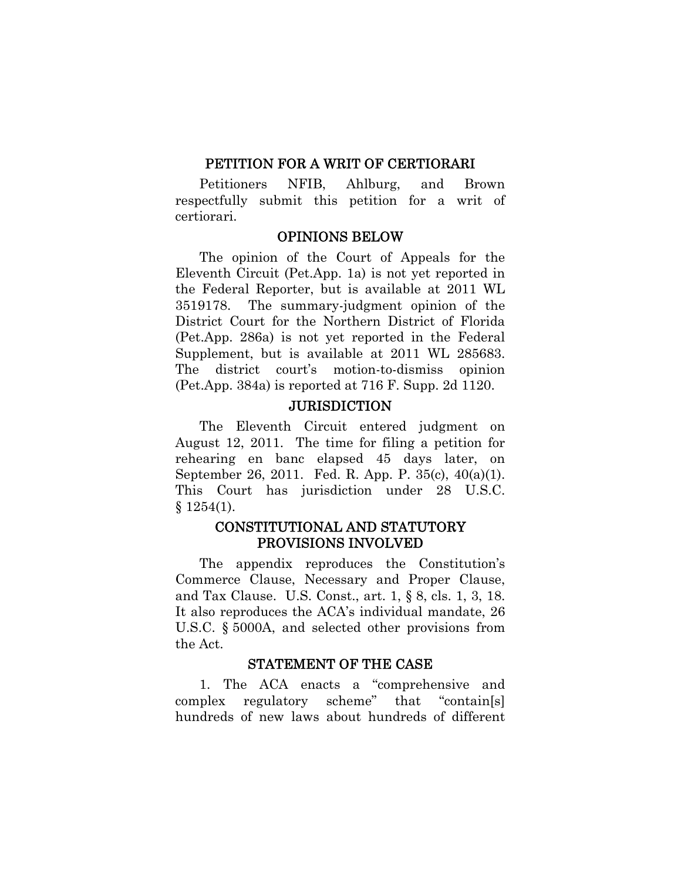#### PETITION FOR A WRIT OF CERTIORARI

Petitioners NFIB, Ahlburg, and Brown respectfully submit this petition for a writ of certiorari.

#### OPINIONS BELOW

The opinion of the Court of Appeals for the Eleventh Circuit (Pet.App. 1a) is not yet reported in the Federal Reporter, but is available at 2011 WL 3519178. The summary-judgment opinion of the District Court for the Northern District of Florida (Pet.App. 286a) is not yet reported in the Federal Supplement, but is available at 2011 WL 285683. The district court's motion-to-dismiss opinion (Pet.App. 384a) is reported at 716 F. Supp. 2d 1120.

#### **JURISDICTION**

The Eleventh Circuit entered judgment on August 12, 2011. The time for filing a petition for rehearing en banc elapsed 45 days later, on September 26, 2011. Fed. R. App. P. 35(c), 40(a)(1). This Court has jurisdiction under 28 U.S.C. § 1254(1).

## CONSTITUTIONAL AND STATUTORY PROVISIONS INVOLVED

The appendix reproduces the Constitution's Commerce Clause, Necessary and Proper Clause, and Tax Clause. U.S. Const., art. 1, § 8, cls. 1, 3, 18. It also reproduces the ACA's individual mandate, 26 U.S.C. § 5000A, and selected other provisions from the Act.

#### STATEMENT OF THE CASE

1. The ACA enacts a "comprehensive and complex regulatory scheme" that "contain[s] hundreds of new laws about hundreds of different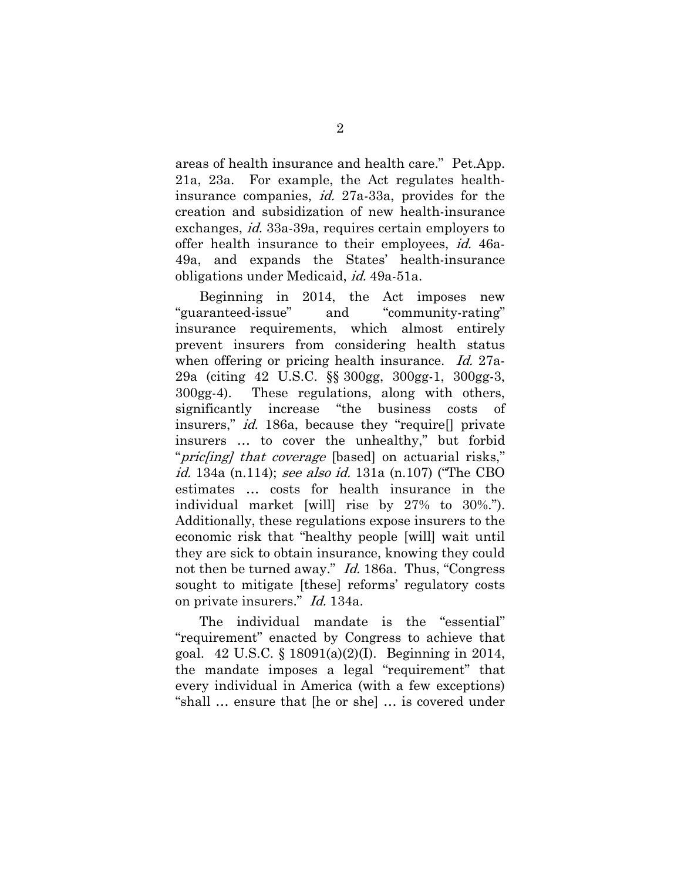areas of health insurance and health care." Pet.App. 21a, 23a. For example, the Act regulates healthinsurance companies, id. 27a-33a, provides for the creation and subsidization of new health-insurance exchanges, id. 33a-39a, requires certain employers to offer health insurance to their employees, id. 46a-49a, and expands the States' health-insurance obligations under Medicaid, id. 49a-51a.

Beginning in 2014, the Act imposes new "guaranteed-issue" and "community-rating" insurance requirements, which almost entirely prevent insurers from considering health status when offering or pricing health insurance. Id. 27a-29a (citing 42 U.S.C. §§ 300gg, 300gg-1, 300gg-3, 300gg-4). These regulations, along with others, significantly increase "the business costs of insurers," id. 186a, because they "require[] private insurers … to cover the unhealthy," but forbid "*pric[ing] that coverage* [based] on actuarial risks," id. 134a (n.114); see also id. 131a (n.107) ("The CBO estimates … costs for health insurance in the individual market [will] rise by 27% to 30%."). Additionally, these regulations expose insurers to the economic risk that "healthy people [will] wait until they are sick to obtain insurance, knowing they could not then be turned away." *Id.* 186a. Thus, "Congress" sought to mitigate [these] reforms' regulatory costs on private insurers." Id. 134a.

The individual mandate is the "essential" "requirement" enacted by Congress to achieve that goal. 42 U.S.C. § 18091(a)(2)(I). Beginning in 2014, the mandate imposes a legal "requirement" that every individual in America (with a few exceptions) "shall … ensure that [he or she] … is covered under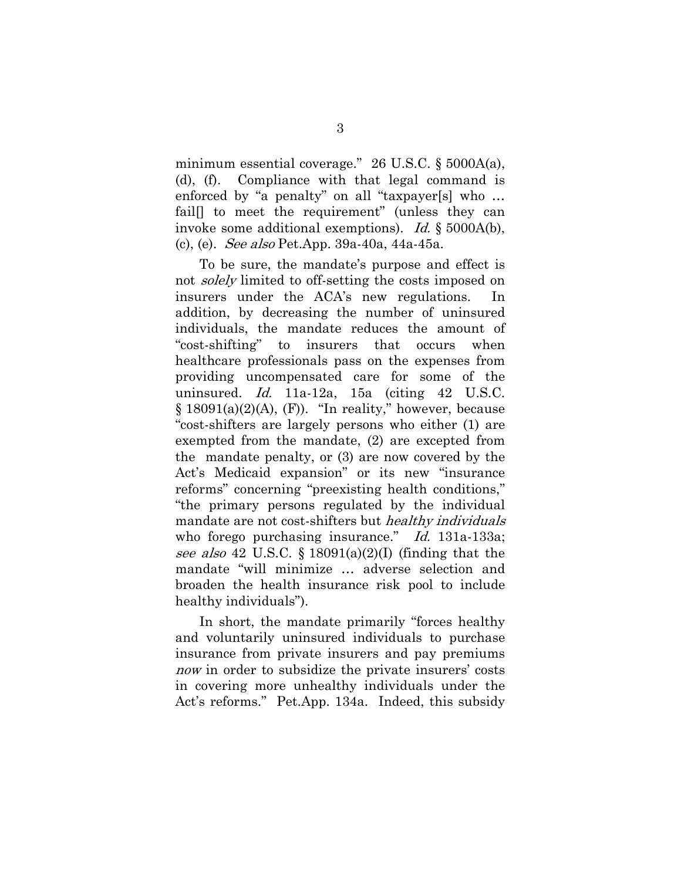minimum essential coverage." 26 U.S.C. § 5000A(a), (d), (f). Compliance with that legal command is enforced by "a penalty" on all "taxpayer[s] who … fail<sup>[1]</sup> to meet the requirement" (unless they can invoke some additional exemptions). Id. § 5000A(b), (c), (e). See also Pet.App. 39a-40a, 44a-45a.

To be sure, the mandate's purpose and effect is not *solely* limited to off-setting the costs imposed on insurers under the ACA's new regulations. addition, by decreasing the number of uninsured individuals, the mandate reduces the amount of "cost-shifting" to insurers that occurs when healthcare professionals pass on the expenses from providing uncompensated care for some of the uninsured. *Id.* 11a-12a, 15a (citing  $42$  U.S.C.  $§ 18091(a)(2)(A), (F)).$  "In reality," however, because "cost-shifters are largely persons who either (1) are exempted from the mandate, (2) are excepted from the mandate penalty, or (3) are now covered by the Act's Medicaid expansion" or its new "insurance reforms" concerning "preexisting health conditions," "the primary persons regulated by the individual mandate are not cost-shifters but *healthy individuals* who forego purchasing insurance." Id. 131a-133a; see also 42 U.S.C. § 18091(a)(2)(I) (finding that the mandate "will minimize … adverse selection and broaden the health insurance risk pool to include healthy individuals").

In short, the mandate primarily "forces healthy and voluntarily uninsured individuals to purchase insurance from private insurers and pay premiums now in order to subsidize the private insurers' costs in covering more unhealthy individuals under the Act's reforms." Pet.App. 134a. Indeed, this subsidy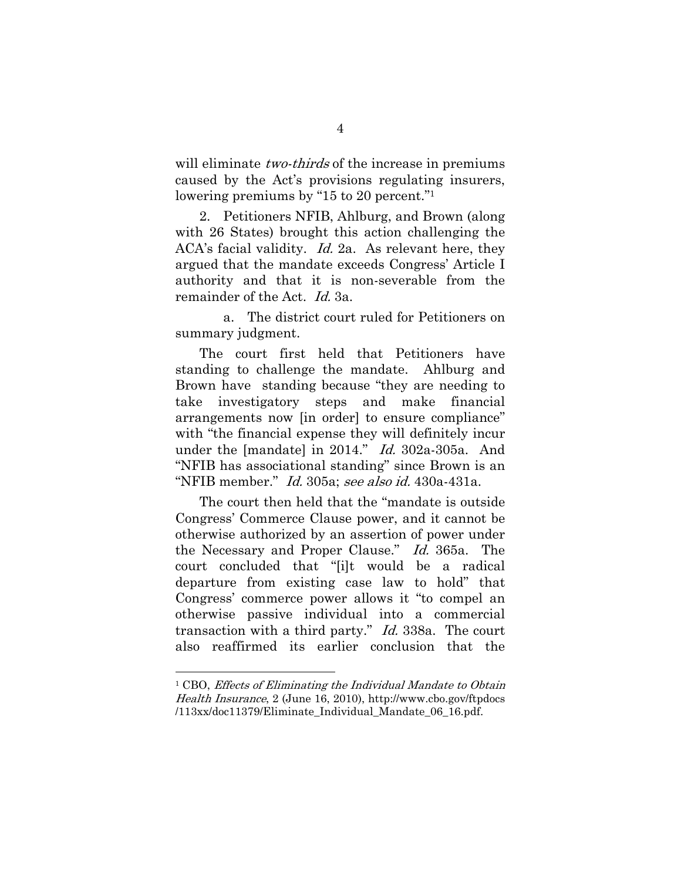will eliminate *two-thirds* of the increase in premiums caused by the Act's provisions regulating insurers, lowering premiums by "15 to 20 percent."1

2. Petitioners NFIB, Ahlburg, and Brown (along with 26 States) brought this action challenging the ACA's facial validity. Id. 2a. As relevant here, they argued that the mandate exceeds Congress' Article I authority and that it is non-severable from the remainder of the Act. Id. 3a.

 a. The district court ruled for Petitioners on summary judgment.

The court first held that Petitioners have standing to challenge the mandate. Ahlburg and Brown have standing because "they are needing to take investigatory steps and make financial arrangements now [in order] to ensure compliance" with "the financial expense they will definitely incur under the [mandate] in 2014." Id. 302a-305a. And "NFIB has associational standing" since Brown is an "NFIB member." Id. 305a; see also id. 430a-431a.

The court then held that the "mandate is outside Congress' Commerce Clause power, and it cannot be otherwise authorized by an assertion of power under the Necessary and Proper Clause." Id. 365a. The court concluded that "[i]t would be a radical departure from existing case law to hold" that Congress' commerce power allows it "to compel an otherwise passive individual into a commercial transaction with a third party." Id. 338a. The court also reaffirmed its earlier conclusion that the

 $\overline{a}$ 

<sup>&</sup>lt;sup>1</sup> CBO, Effects of Eliminating the Individual Mandate to Obtain Health Insurance, 2 (June 16, 2010), http://www.cbo.gov/ftpdocs /113xx/doc11379/Eliminate\_Individual\_Mandate\_06\_16.pdf.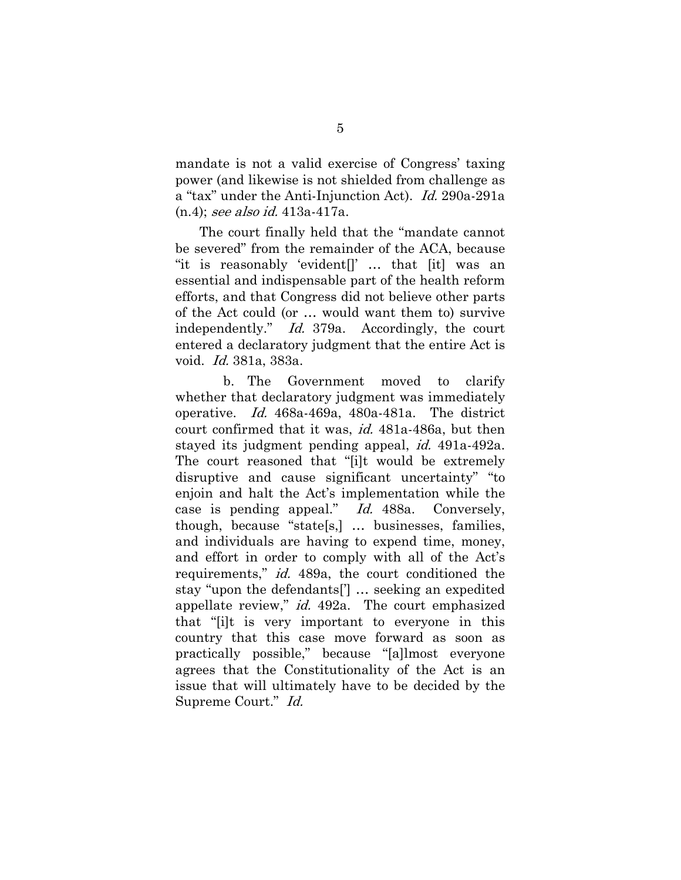mandate is not a valid exercise of Congress' taxing power (and likewise is not shielded from challenge as a "tax" under the Anti-Injunction Act). Id. 290a-291a (n.4); see also id. 413a-417a.

The court finally held that the "mandate cannot be severed" from the remainder of the ACA, because "it is reasonably 'evident[]' … that [it] was an essential and indispensable part of the health reform efforts, and that Congress did not believe other parts of the Act could (or … would want them to) survive independently." Id. 379a. Accordingly, the court entered a declaratory judgment that the entire Act is void. Id. 381a, 383a.

 b. The Government moved to clarify whether that declaratory judgment was immediately operative. Id. 468a-469a, 480a-481a. The district court confirmed that it was, id. 481a-486a, but then stayed its judgment pending appeal, id. 491a-492a. The court reasoned that "[i]t would be extremely disruptive and cause significant uncertainty" "to enjoin and halt the Act's implementation while the case is pending appeal." Id. 488a. Conversely, though, because "state[s,] … businesses, families, and individuals are having to expend time, money, and effort in order to comply with all of the Act's requirements," id. 489a, the court conditioned the stay "upon the defendants['] … seeking an expedited appellate review," id. 492a. The court emphasized that "[i]t is very important to everyone in this country that this case move forward as soon as practically possible," because "[a]lmost everyone agrees that the Constitutionality of the Act is an issue that will ultimately have to be decided by the Supreme Court." Id.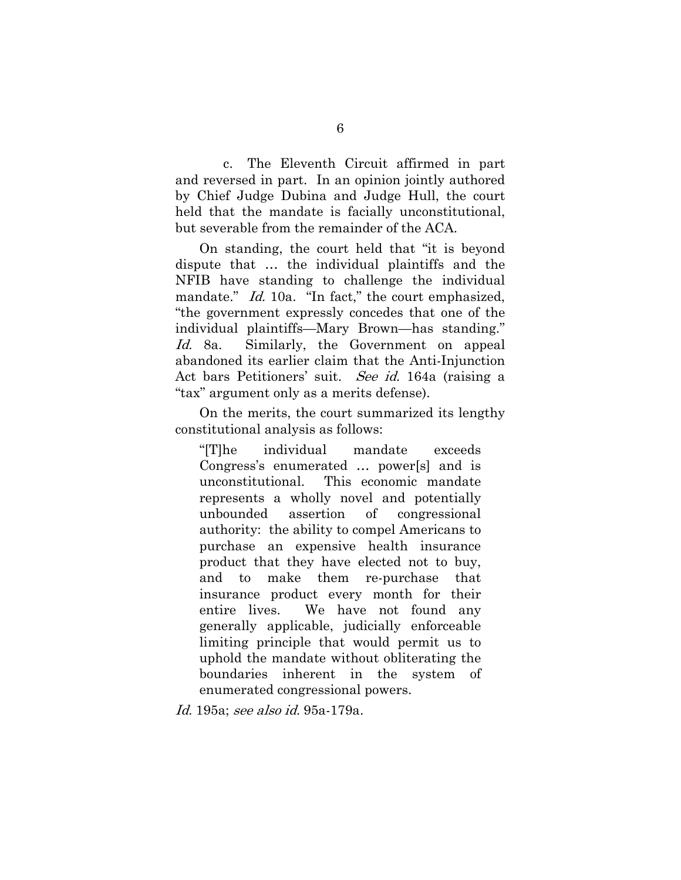c. The Eleventh Circuit affirmed in part and reversed in part. In an opinion jointly authored by Chief Judge Dubina and Judge Hull, the court held that the mandate is facially unconstitutional, but severable from the remainder of the ACA.

On standing, the court held that "it is beyond dispute that … the individual plaintiffs and the NFIB have standing to challenge the individual mandate." *Id.* 10a. "In fact," the court emphasized, "the government expressly concedes that one of the individual plaintiffs—Mary Brown—has standing." Id. 8a. Similarly, the Government on appeal abandoned its earlier claim that the Anti-Injunction Act bars Petitioners' suit. See id. 164a (raising a "tax" argument only as a merits defense).

On the merits, the court summarized its lengthy constitutional analysis as follows:

"[T]he individual mandate exceeds Congress's enumerated … power[s] and is unconstitutional. This economic mandate represents a wholly novel and potentially unbounded assertion of congressional authority: the ability to compel Americans to purchase an expensive health insurance product that they have elected not to buy, and to make them re-purchase that insurance product every month for their entire lives. We have not found any generally applicable, judicially enforceable limiting principle that would permit us to uphold the mandate without obliterating the boundaries inherent in the system of enumerated congressional powers.

Id. 195a; see also id. 95a-179a.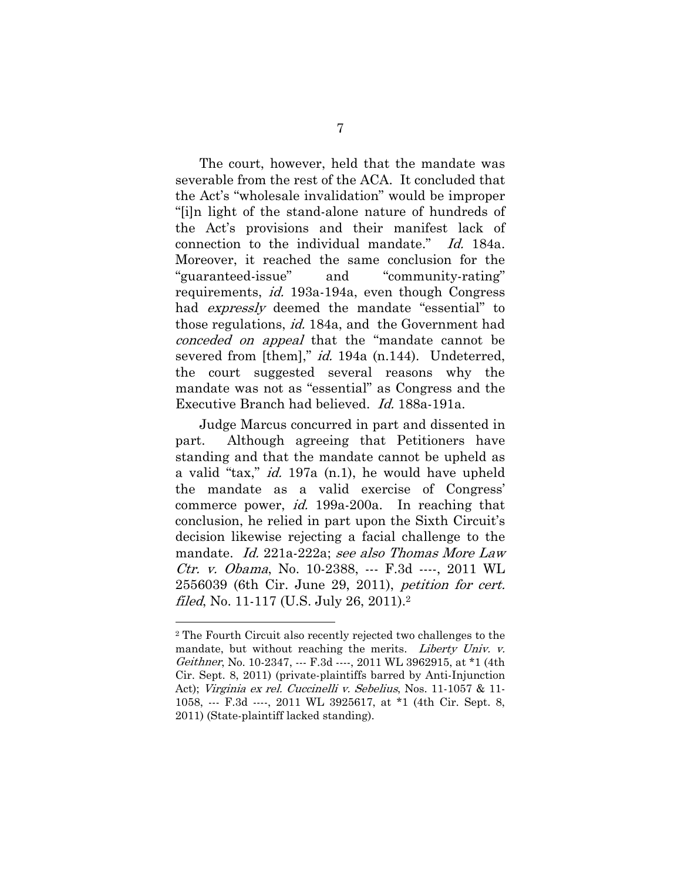The court, however, held that the mandate was severable from the rest of the ACA. It concluded that the Act's "wholesale invalidation" would be improper "[i]n light of the stand-alone nature of hundreds of the Act's provisions and their manifest lack of connection to the individual mandate." Id. 184a. Moreover, it reached the same conclusion for the "guaranteed-issue" and "community-rating" requirements, id. 193a-194a, even though Congress had *expressly* deemed the mandate "essential" to those regulations, id. 184a, and the Government had conceded on appeal that the "mandate cannot be severed from [them]," *id.* 194a (n.144). Undeterred, the court suggested several reasons why the mandate was not as "essential" as Congress and the Executive Branch had believed. Id. 188a-191a.

Judge Marcus concurred in part and dissented in part. Although agreeing that Petitioners have standing and that the mandate cannot be upheld as a valid "tax," id. 197a (n.1), he would have upheld the mandate as a valid exercise of Congress' commerce power, id. 199a-200a. In reaching that conclusion, he relied in part upon the Sixth Circuit's decision likewise rejecting a facial challenge to the mandate. Id. 221a-222a; see also Thomas More Law Ctr. v. Obama, No. 10-2388, --- F.3d ----, 2011 WL 2556039 (6th Cir. June 29, 2011), petition for cert. filed, No. 11-117 (U.S. July 26, 2011).<sup>2</sup>

 $\overline{a}$ 

<sup>2</sup> The Fourth Circuit also recently rejected two challenges to the mandate, but without reaching the merits. Liberty Univ. v. Geithner, No. 10-2347, --- F.3d ----, 2011 WL 3962915, at \*1 (4th Cir. Sept. 8, 2011) (private-plaintiffs barred by Anti-Injunction Act); *Virginia ex rel. Cuccinelli v. Sebelius*, Nos. 11-1057 & 11-1058, --- F.3d ----, 2011 WL 3925617, at \*1 (4th Cir. Sept. 8, 2011) (State-plaintiff lacked standing).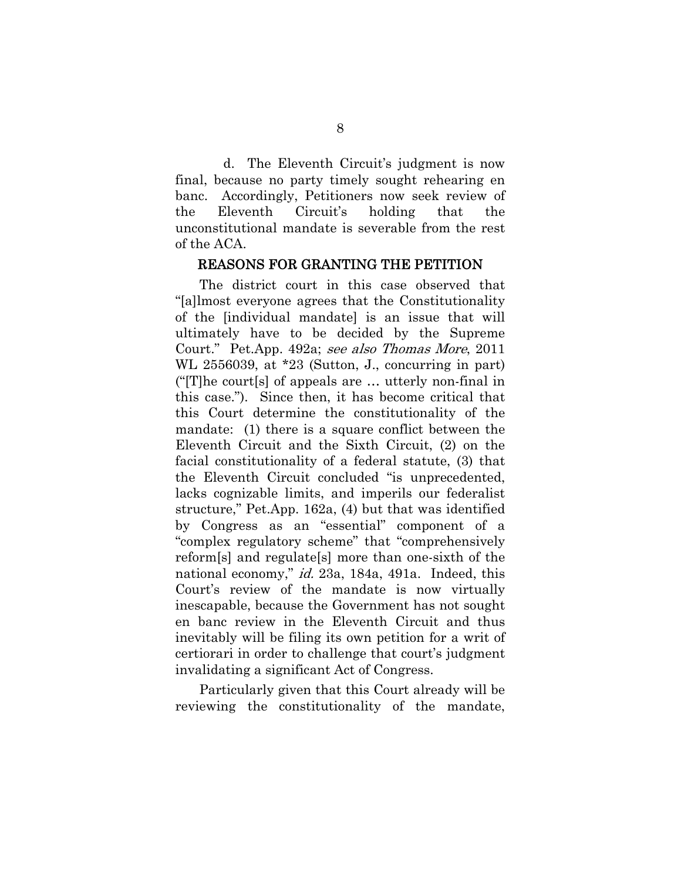d. The Eleventh Circuit's judgment is now final, because no party timely sought rehearing en banc. Accordingly, Petitioners now seek review of the Eleventh Circuit's holding that the unconstitutional mandate is severable from the rest of the ACA.

#### REASONS FOR GRANTING THE PETITION

The district court in this case observed that "[a]lmost everyone agrees that the Constitutionality of the [individual mandate] is an issue that will ultimately have to be decided by the Supreme Court." Pet.App. 492a; see also Thomas More, 2011 WL 2556039, at \*23 (Sutton, J., concurring in part) ("[T]he court[s] of appeals are … utterly non-final in this case."). Since then, it has become critical that this Court determine the constitutionality of the mandate: (1) there is a square conflict between the Eleventh Circuit and the Sixth Circuit, (2) on the facial constitutionality of a federal statute, (3) that the Eleventh Circuit concluded "is unprecedented, lacks cognizable limits, and imperils our federalist structure," Pet.App. 162a, (4) but that was identified by Congress as an "essential" component of a "complex regulatory scheme" that "comprehensively reform[s] and regulate[s] more than one-sixth of the national economy," *id.* 23a, 184a, 491a. Indeed, this Court's review of the mandate is now virtually inescapable, because the Government has not sought en banc review in the Eleventh Circuit and thus inevitably will be filing its own petition for a writ of certiorari in order to challenge that court's judgment invalidating a significant Act of Congress.

Particularly given that this Court already will be reviewing the constitutionality of the mandate,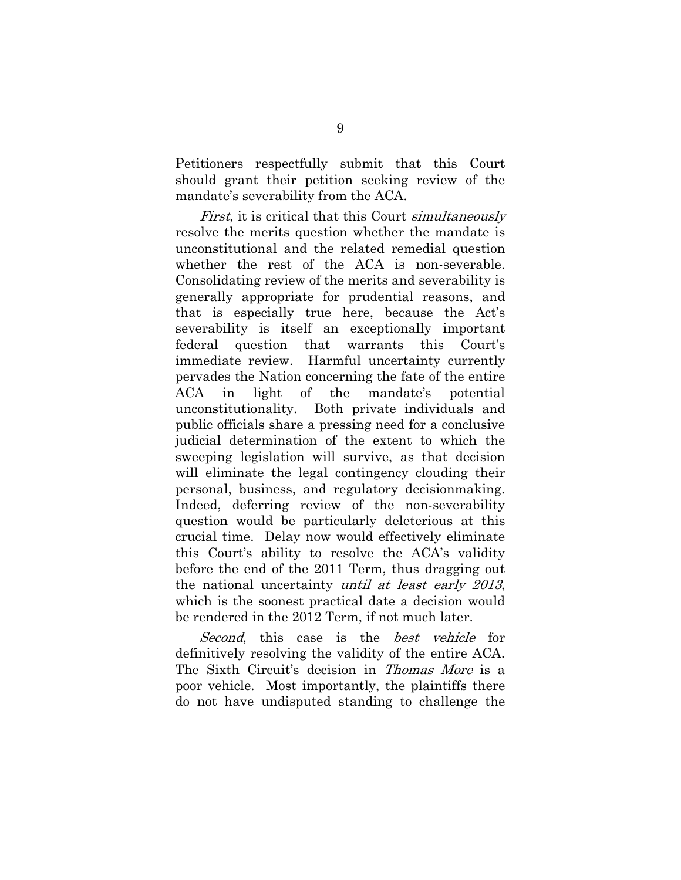Petitioners respectfully submit that this Court should grant their petition seeking review of the mandate's severability from the ACA.

First, it is critical that this Court simultaneously resolve the merits question whether the mandate is unconstitutional and the related remedial question whether the rest of the ACA is non-severable. Consolidating review of the merits and severability is generally appropriate for prudential reasons, and that is especially true here, because the Act's severability is itself an exceptionally important federal question that warrants this Court's immediate review. Harmful uncertainty currently pervades the Nation concerning the fate of the entire ACA in light of the mandate's potential unconstitutionality. Both private individuals and public officials share a pressing need for a conclusive judicial determination of the extent to which the sweeping legislation will survive, as that decision will eliminate the legal contingency clouding their personal, business, and regulatory decisionmaking. Indeed, deferring review of the non-severability question would be particularly deleterious at this crucial time. Delay now would effectively eliminate this Court's ability to resolve the ACA's validity before the end of the 2011 Term, thus dragging out the national uncertainty until at least early 2013, which is the soonest practical date a decision would be rendered in the 2012 Term, if not much later.

Second, this case is the *best vehicle* for definitively resolving the validity of the entire ACA. The Sixth Circuit's decision in Thomas More is a poor vehicle. Most importantly, the plaintiffs there do not have undisputed standing to challenge the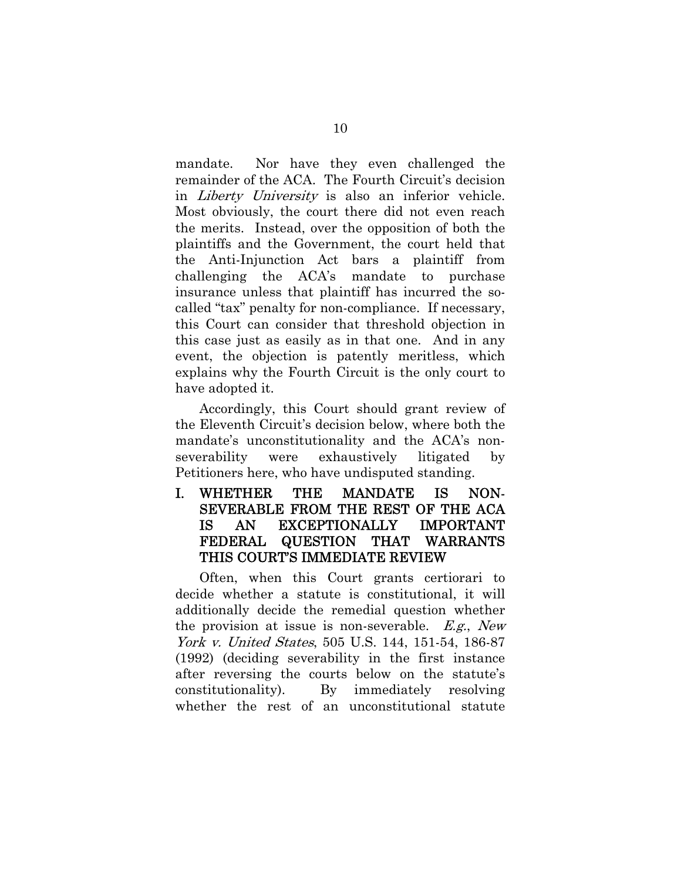mandate. Nor have they even challenged the remainder of the ACA. The Fourth Circuit's decision in Liberty University is also an inferior vehicle. Most obviously, the court there did not even reach the merits. Instead, over the opposition of both the plaintiffs and the Government, the court held that the Anti-Injunction Act bars a plaintiff from challenging the ACA's mandate to purchase insurance unless that plaintiff has incurred the socalled "tax" penalty for non-compliance. If necessary, this Court can consider that threshold objection in this case just as easily as in that one. And in any event, the objection is patently meritless, which explains why the Fourth Circuit is the only court to have adopted it.

Accordingly, this Court should grant review of the Eleventh Circuit's decision below, where both the mandate's unconstitutionality and the ACA's nonseverability were exhaustively litigated by Petitioners here, who have undisputed standing.

I. WHETHER THE MANDATE IS NON-SEVERABLE FROM THE REST OF THE ACA IS AN EXCEPTIONALLY IMPORTANT FEDERAL QUESTION THAT WARRANTS THIS COURT'S IMMEDIATE REVIEW

Often, when this Court grants certiorari to decide whether a statute is constitutional, it will additionally decide the remedial question whether the provision at issue is non-severable.  $E.g., New$ York v. United States, 505 U.S. 144, 151-54, 186-87 (1992) (deciding severability in the first instance after reversing the courts below on the statute's constitutionality). By immediately resolving whether the rest of an unconstitutional statute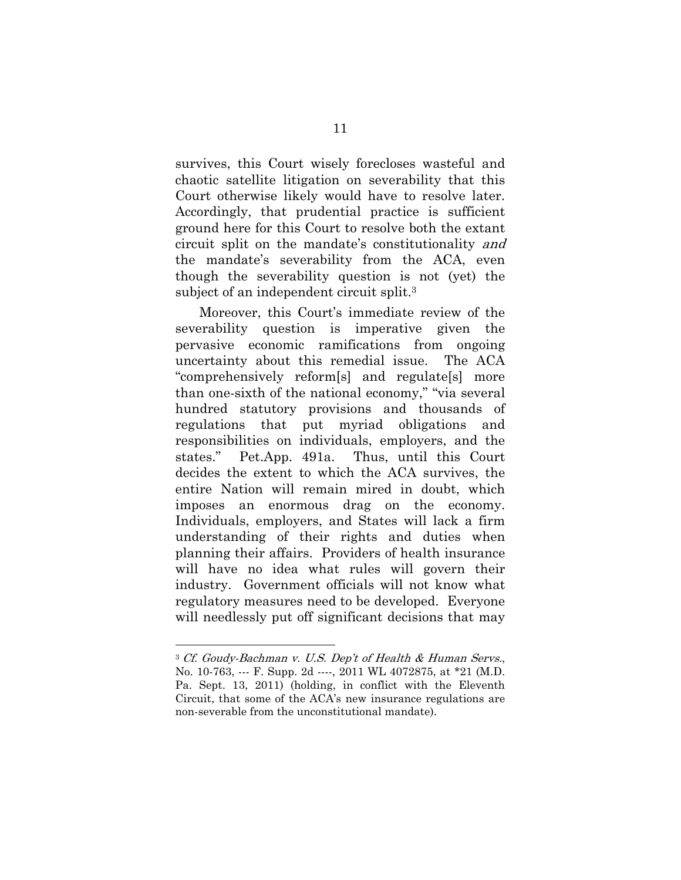survives, this Court wisely forecloses wasteful and chaotic satellite litigation on severability that this Court otherwise likely would have to resolve later. Accordingly, that prudential practice is sufficient ground here for this Court to resolve both the extant circuit split on the mandate's constitutionality and the mandate's severability from the ACA, even though the severability question is not (yet) the subject of an independent circuit split.3

Moreover, this Court's immediate review of the severability question is imperative given the pervasive economic ramifications from ongoing uncertainty about this remedial issue. The ACA "comprehensively reform[s] and regulate[s] more than one-sixth of the national economy," "via several hundred statutory provisions and thousands of regulations that put myriad obligations and responsibilities on individuals, employers, and the states." Pet.App. 491a. Thus, until this Court decides the extent to which the ACA survives, the entire Nation will remain mired in doubt, which imposes an enormous drag on the economy. Individuals, employers, and States will lack a firm understanding of their rights and duties when planning their affairs. Providers of health insurance will have no idea what rules will govern their industry. Government officials will not know what regulatory measures need to be developed. Everyone will needlessly put off significant decisions that may

 $\overline{a}$ 

<sup>3</sup> Cf. Goudy-Bachman v. U.S. Dep't of Health & Human Servs., No. 10-763, --- F. Supp. 2d ----, 2011 WL 4072875, at \*21 (M.D. Pa. Sept. 13, 2011) (holding, in conflict with the Eleventh Circuit, that some of the ACA's new insurance regulations are non-severable from the unconstitutional mandate).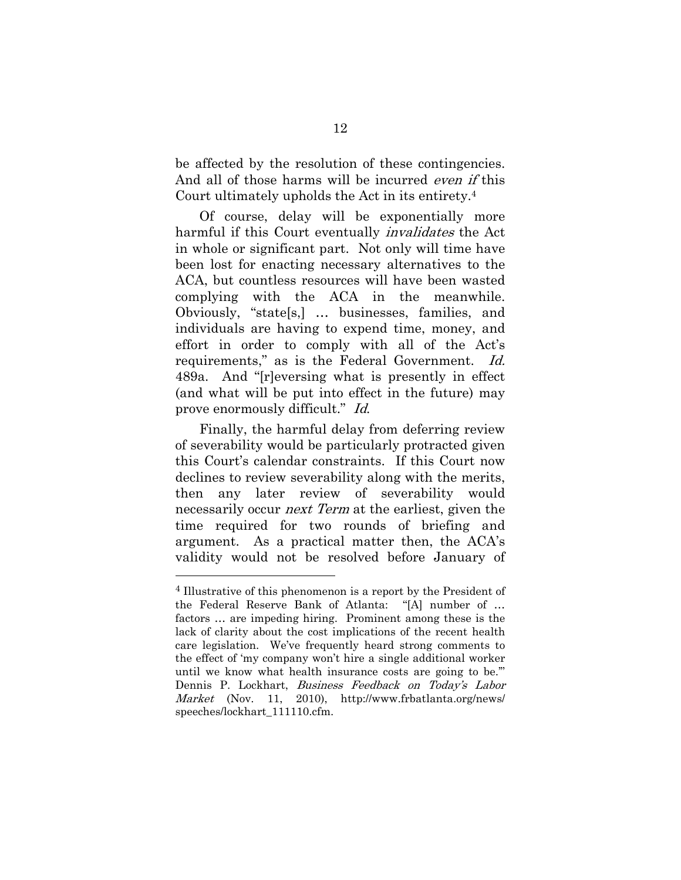be affected by the resolution of these contingencies. And all of those harms will be incurred *even if* this Court ultimately upholds the Act in its entirety.4

Of course, delay will be exponentially more harmful if this Court eventually invalidates the Act in whole or significant part. Not only will time have been lost for enacting necessary alternatives to the ACA, but countless resources will have been wasted complying with the ACA in the meanwhile. Obviously, "state[s,] … businesses, families, and individuals are having to expend time, money, and effort in order to comply with all of the Act's requirements," as is the Federal Government. Id. 489a. And "[r]eversing what is presently in effect (and what will be put into effect in the future) may prove enormously difficult." Id.

Finally, the harmful delay from deferring review of severability would be particularly protracted given this Court's calendar constraints. If this Court now declines to review severability along with the merits, then any later review of severability would necessarily occur next Term at the earliest, given the time required for two rounds of briefing and argument. As a practical matter then, the ACA's validity would not be resolved before January of

 $\overline{a}$ 

<sup>4</sup> Illustrative of this phenomenon is a report by the President of the Federal Reserve Bank of Atlanta: "[A] number of … factors … are impeding hiring. Prominent among these is the lack of clarity about the cost implications of the recent health care legislation. We've frequently heard strong comments to the effect of 'my company won't hire a single additional worker until we know what health insurance costs are going to be.'" Dennis P. Lockhart, Business Feedback on Today's Labor Market (Nov. 11, 2010), http://www.frbatlanta.org/news/ speeches/lockhart 111110.cfm.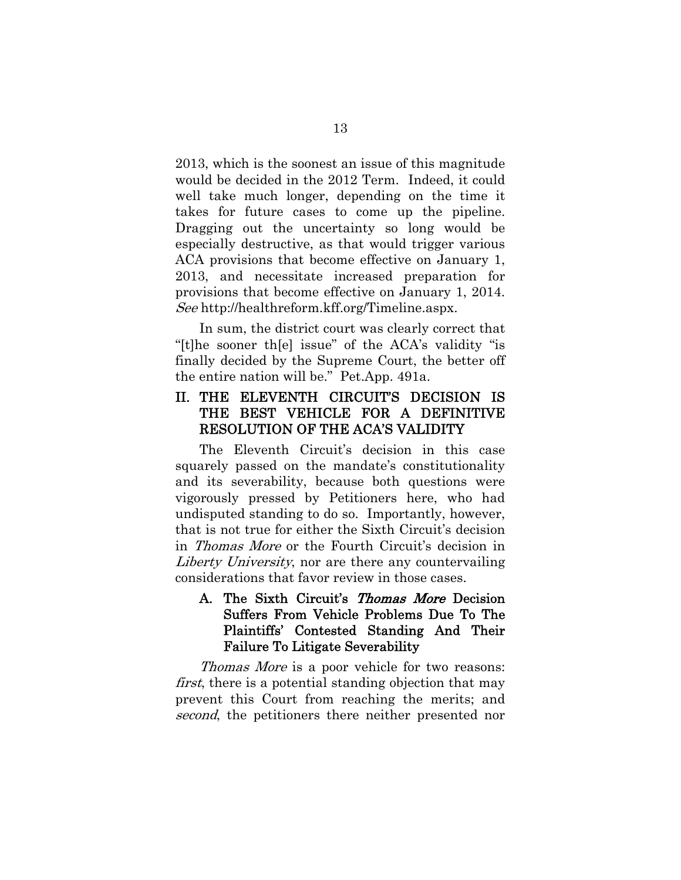2013, which is the soonest an issue of this magnitude would be decided in the 2012 Term. Indeed, it could well take much longer, depending on the time it takes for future cases to come up the pipeline. Dragging out the uncertainty so long would be especially destructive, as that would trigger various ACA provisions that become effective on January 1, 2013, and necessitate increased preparation for provisions that become effective on January 1, 2014. See http://healthreform.kff.org/Timeline.aspx.

In sum, the district court was clearly correct that "[t]he sooner th[e] issue" of the ACA's validity "is finally decided by the Supreme Court, the better off the entire nation will be." Pet.App. 491a.

## II. THE ELEVENTH CIRCUIT'S DECISION IS THE BEST VEHICLE FOR A DEFINITIVE RESOLUTION OF THE ACA'S VALIDITY

The Eleventh Circuit's decision in this case squarely passed on the mandate's constitutionality and its severability, because both questions were vigorously pressed by Petitioners here, who had undisputed standing to do so. Importantly, however, that is not true for either the Sixth Circuit's decision in Thomas More or the Fourth Circuit's decision in Liberty University, nor are there any countervailing considerations that favor review in those cases.

## A. The Sixth Circuit's Thomas More Decision Suffers From Vehicle Problems Due To The Plaintiffs' Contested Standing And Their Failure To Litigate Severability

Thomas More is a poor vehicle for two reasons: first, there is a potential standing objection that may prevent this Court from reaching the merits; and second, the petitioners there neither presented nor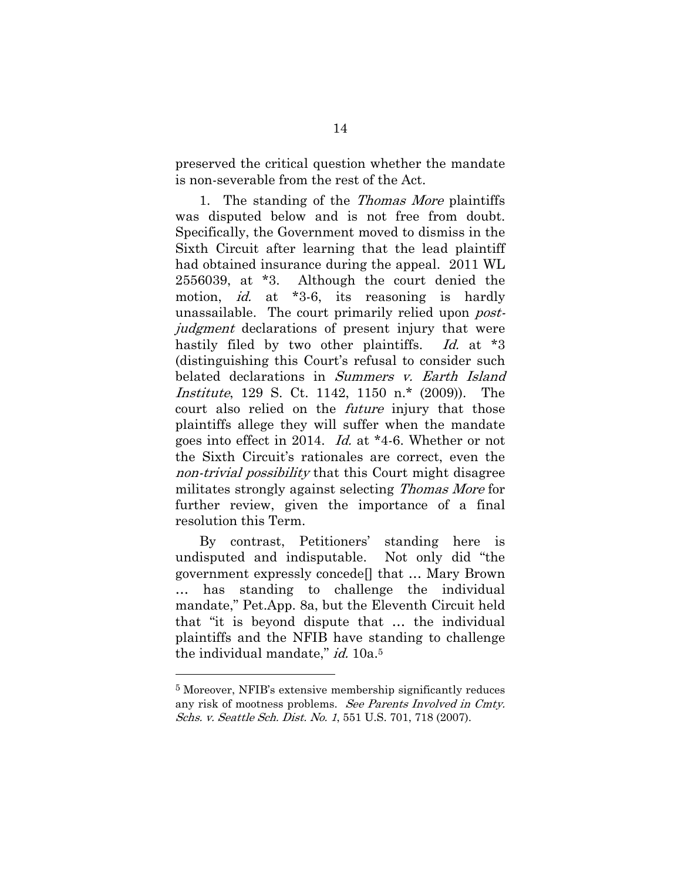preserved the critical question whether the mandate is non-severable from the rest of the Act.

1. The standing of the Thomas More plaintiffs was disputed below and is not free from doubt. Specifically, the Government moved to dismiss in the Sixth Circuit after learning that the lead plaintiff had obtained insurance during the appeal. 2011 WL 2556039, at \*3. Although the court denied the motion, *id.* at \*3-6, its reasoning is hardly unassailable. The court primarily relied upon *post*judgment declarations of present injury that were hastily filed by two other plaintiffs. Id. at \*3 (distinguishing this Court's refusal to consider such belated declarations in Summers v. Earth Island Institute, 129 S. Ct. 1142, 1150 n.\* (2009)). The court also relied on the *future* injury that those plaintiffs allege they will suffer when the mandate goes into effect in 2014. Id. at \*4-6. Whether or not the Sixth Circuit's rationales are correct, even the non-trivial possibility that this Court might disagree militates strongly against selecting Thomas More for further review, given the importance of a final resolution this Term.

By contrast, Petitioners' standing here is undisputed and indisputable. Not only did "the government expressly concede[] that … Mary Brown … has standing to challenge the individual mandate," Pet.App. 8a, but the Eleventh Circuit held that "it is beyond dispute that … the individual plaintiffs and the NFIB have standing to challenge the individual mandate," id. 10a.<sup>5</sup>

 $\overline{a}$ 

<sup>5</sup> Moreover, NFIB's extensive membership significantly reduces any risk of mootness problems. See Parents Involved in Cmty. Schs. v. Seattle Sch. Dist. No. 1, 551 U.S. 701, 718 (2007).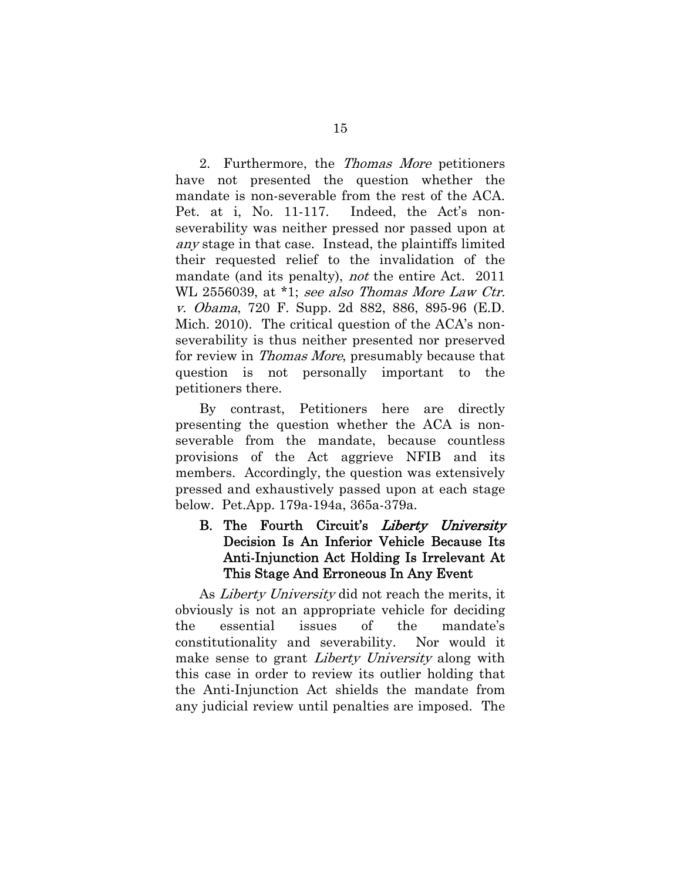2. Furthermore, the Thomas More petitioners have not presented the question whether the mandate is non-severable from the rest of the ACA. Pet. at i, No. 11-117. Indeed, the Act's nonseverability was neither pressed nor passed upon at any stage in that case. Instead, the plaintiffs limited their requested relief to the invalidation of the mandate (and its penalty), *not* the entire Act. 2011 WL 2556039, at \*1; see also Thomas More Law Ctr. v. Obama, 720 F. Supp. 2d 882, 886, 895-96 (E.D. Mich. 2010). The critical question of the ACA's nonseverability is thus neither presented nor preserved for review in Thomas More, presumably because that question is not personally important to the petitioners there.

By contrast, Petitioners here are directly presenting the question whether the ACA is nonseverable from the mandate, because countless provisions of the Act aggrieve NFIB and its members. Accordingly, the question was extensively pressed and exhaustively passed upon at each stage below. Pet.App. 179a-194a, 365a-379a.

## B. The Fourth Circuit's Liberty University Decision Is An Inferior Vehicle Because Its Anti-Injunction Act Holding Is Irrelevant At This Stage And Erroneous In Any Event

As *Liberty University* did not reach the merits, it obviously is not an appropriate vehicle for deciding the essential issues of the mandate's constitutionality and severability. Nor would it make sense to grant *Liberty University* along with this case in order to review its outlier holding that the Anti-Injunction Act shields the mandate from any judicial review until penalties are imposed. The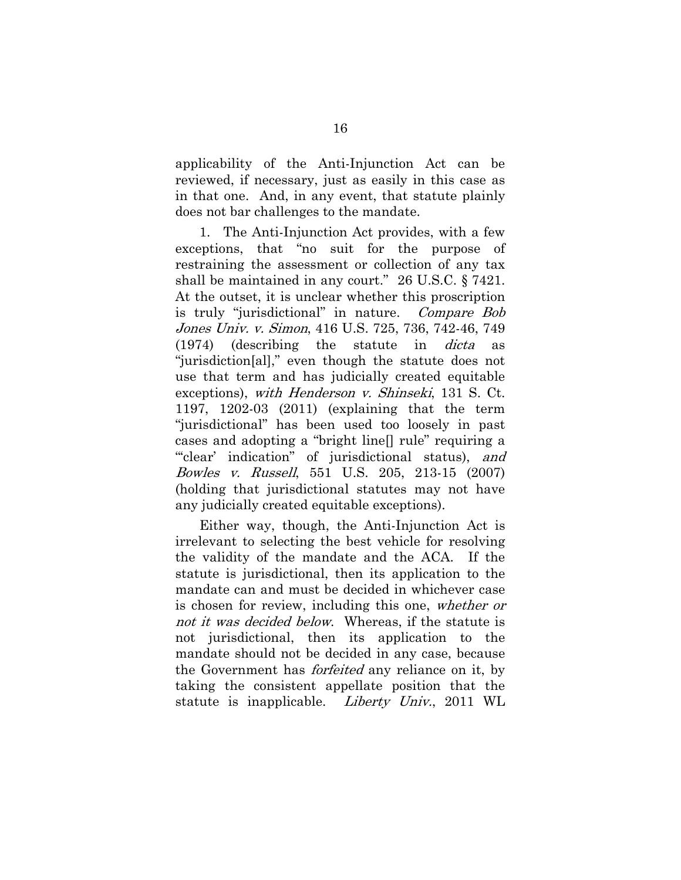applicability of the Anti-Injunction Act can be reviewed, if necessary, just as easily in this case as in that one. And, in any event, that statute plainly does not bar challenges to the mandate.

1. The Anti-Injunction Act provides, with a few exceptions, that "no suit for the purpose of restraining the assessment or collection of any tax shall be maintained in any court." 26 U.S.C. § 7421. At the outset, it is unclear whether this proscription is truly "jurisdictional" in nature. Compare Bob Jones Univ. v. Simon, 416 U.S. 725, 736, 742-46, 749 (1974) (describing the statute in dicta as "jurisdiction[al]," even though the statute does not use that term and has judicially created equitable exceptions), with Henderson v. Shinseki, 131 S. Ct. 1197, 1202-03 (2011) (explaining that the term "jurisdictional" has been used too loosely in past cases and adopting a "bright line[] rule" requiring a "clear' indication" of jurisdictional status), and Bowles v. Russell, 551 U.S. 205, 213-15 (2007) (holding that jurisdictional statutes may not have any judicially created equitable exceptions).

Either way, though, the Anti-Injunction Act is irrelevant to selecting the best vehicle for resolving the validity of the mandate and the ACA. If the statute is jurisdictional, then its application to the mandate can and must be decided in whichever case is chosen for review, including this one, whether or not it was decided below. Whereas, if the statute is not jurisdictional, then its application to the mandate should not be decided in any case, because the Government has *forfeited* any reliance on it, by taking the consistent appellate position that the statute is inapplicable. Liberty Univ., 2011 WL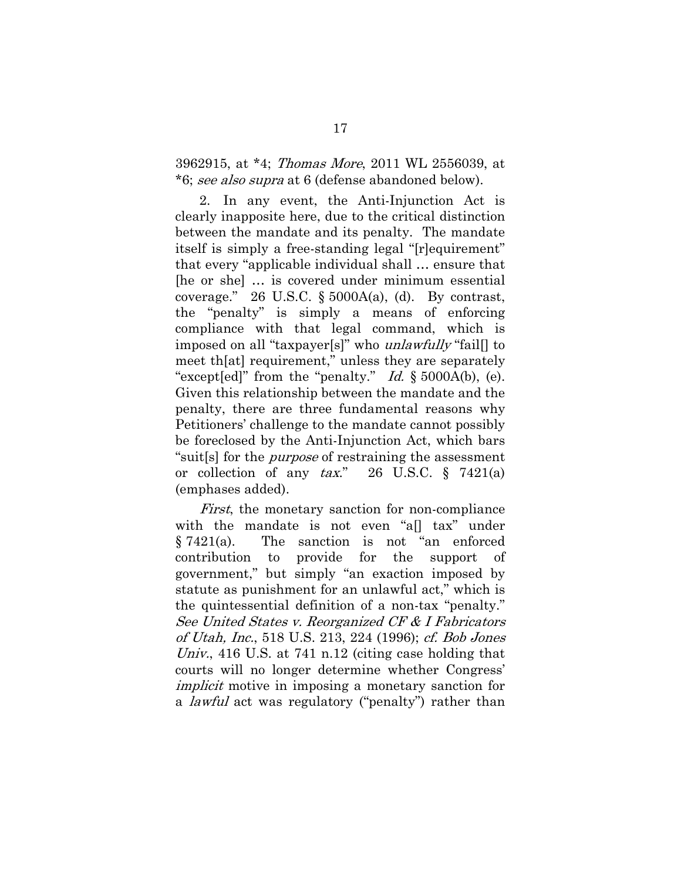3962915, at \*4; Thomas More, 2011 WL 2556039, at \*6; see also supra at 6 (defense abandoned below).

2. In any event, the Anti-Injunction Act is clearly inapposite here, due to the critical distinction between the mandate and its penalty. The mandate itself is simply a free-standing legal "[r]equirement" that every "applicable individual shall … ensure that [he or she] … is covered under minimum essential coverage." 26 U.S.C.  $\S$  5000A(a), (d). By contrast, the "penalty" is simply a means of enforcing compliance with that legal command, which is imposed on all "taxpayer[s]" who unlawfully "fail[] to meet th[at] requirement," unless they are separately "except[ed]" from the "penalty." Id.  $\S$  5000A(b), (e). Given this relationship between the mandate and the penalty, there are three fundamental reasons why Petitioners' challenge to the mandate cannot possibly be foreclosed by the Anti-Injunction Act, which bars "suit[s] for the purpose of restraining the assessment or collection of any  $tax$ ." 26 U.S.C. § 7421(a) (emphases added).

First, the monetary sanction for non-compliance with the mandate is not even "a[] tax" under § 7421(a). The sanction is not "an enforced contribution to provide for the support of government," but simply "an exaction imposed by statute as punishment for an unlawful act," which is the quintessential definition of a non-tax "penalty." See United States v. Reorganized CF & I Fabricators of Utah, Inc., 518 U.S. 213, 224 (1996); cf. Bob Jones Univ., 416 U.S. at 741 n.12 (citing case holding that courts will no longer determine whether Congress' implicit motive in imposing a monetary sanction for a lawful act was regulatory ("penalty") rather than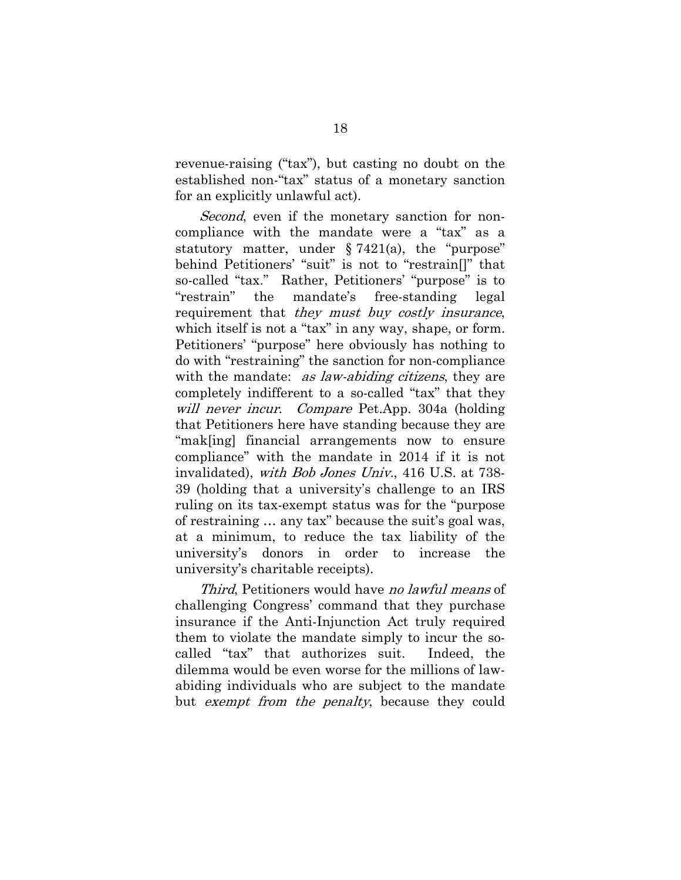revenue-raising ("tax"), but casting no doubt on the established non-"tax" status of a monetary sanction for an explicitly unlawful act).

Second, even if the monetary sanction for noncompliance with the mandate were a "tax" as a statutory matter, under  $\S 7421(a)$ , the "purpose" behind Petitioners' "suit" is not to "restrain[]" that so-called "tax." Rather, Petitioners' "purpose" is to "restrain" the mandate's free-standing legal requirement that they must buy costly insurance, which itself is not a "tax" in any way, shape, or form. Petitioners' "purpose" here obviously has nothing to do with "restraining" the sanction for non-compliance with the mandate: *as law-abiding citizens*, they are completely indifferent to a so-called "tax" that they will never incur. Compare Pet.App. 304a (holding that Petitioners here have standing because they are "mak[ing] financial arrangements now to ensure compliance" with the mandate in 2014 if it is not invalidated), with Bob Jones Univ., 416 U.S. at 738- 39 (holding that a university's challenge to an IRS ruling on its tax-exempt status was for the "purpose of restraining … any tax" because the suit's goal was, at a minimum, to reduce the tax liability of the university's donors in order to increase the university's charitable receipts).

Third, Petitioners would have no lawful means of challenging Congress' command that they purchase insurance if the Anti-Injunction Act truly required them to violate the mandate simply to incur the socalled "tax" that authorizes suit. Indeed, the dilemma would be even worse for the millions of lawabiding individuals who are subject to the mandate but exempt from the penalty, because they could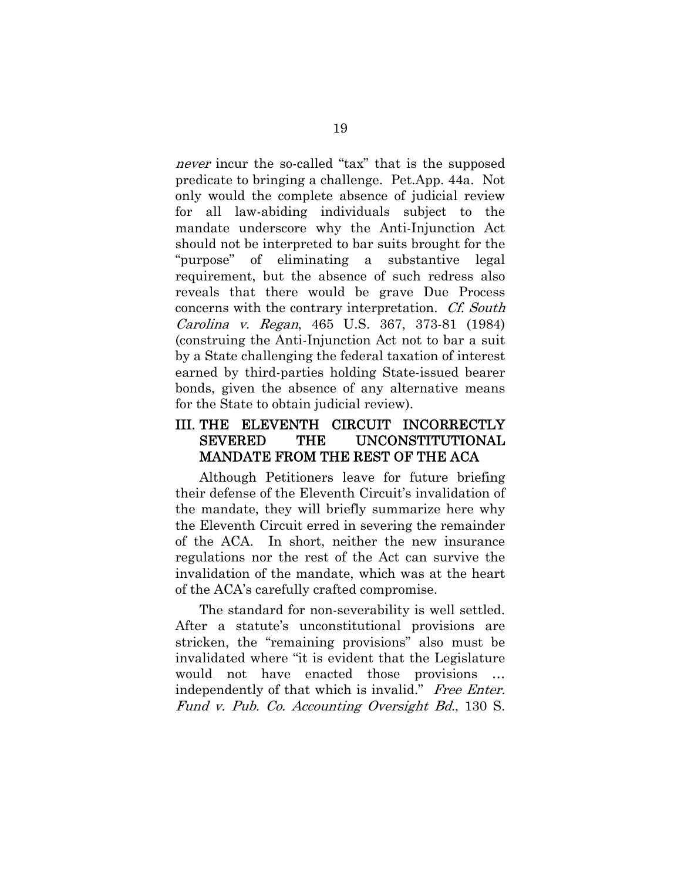never incur the so-called "tax" that is the supposed predicate to bringing a challenge. Pet.App. 44a. Not only would the complete absence of judicial review for all law-abiding individuals subject to the mandate underscore why the Anti-Injunction Act should not be interpreted to bar suits brought for the "purpose" of eliminating a substantive legal requirement, but the absence of such redress also reveals that there would be grave Due Process concerns with the contrary interpretation. Cf. South Carolina v. Regan, 465 U.S. 367, 373-81 (1984) (construing the Anti-Injunction Act not to bar a suit by a State challenging the federal taxation of interest earned by third-parties holding State-issued bearer bonds, given the absence of any alternative means for the State to obtain judicial review).

## III. THE ELEVENTH CIRCUIT INCORRECTLY SEVERED THE UNCONSTITUTIONAL MANDATE FROM THE REST OF THE ACA

Although Petitioners leave for future briefing their defense of the Eleventh Circuit's invalidation of the mandate, they will briefly summarize here why the Eleventh Circuit erred in severing the remainder of the ACA. In short, neither the new insurance regulations nor the rest of the Act can survive the invalidation of the mandate, which was at the heart of the ACA's carefully crafted compromise.

The standard for non-severability is well settled. After a statute's unconstitutional provisions are stricken, the "remaining provisions" also must be invalidated where "it is evident that the Legislature would not have enacted those provisions … independently of that which is invalid." Free Enter. Fund v. Pub. Co. Accounting Oversight Bd., 130 S.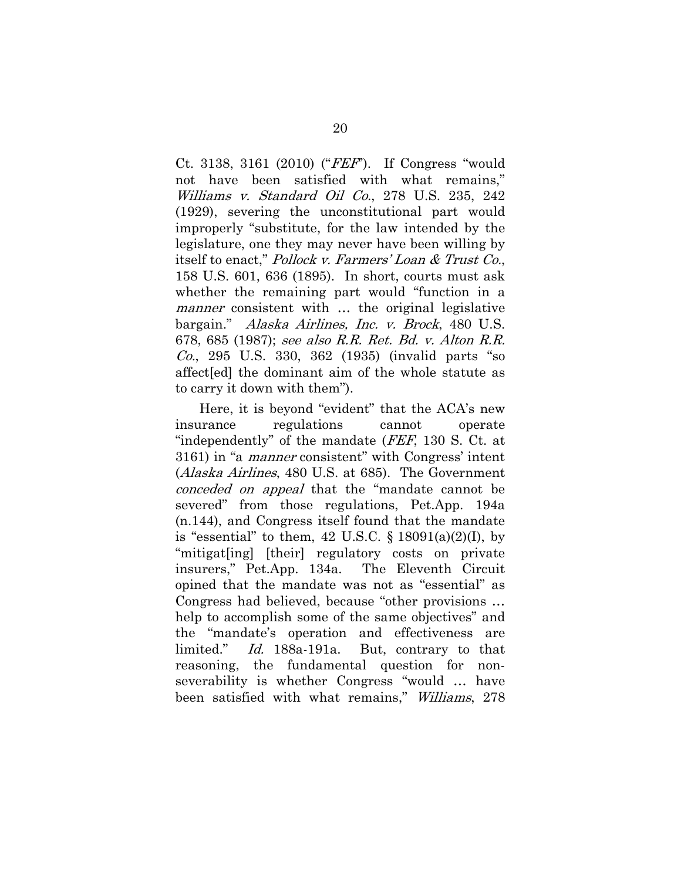Ct. 3138, 3161 (2010) ("FEF"). If Congress "would not have been satisfied with what remains," Williams v. Standard Oil Co., 278 U.S. 235, 242 (1929), severing the unconstitutional part would improperly "substitute, for the law intended by the legislature, one they may never have been willing by itself to enact," Pollock v. Farmers' Loan & Trust Co., 158 U.S. 601, 636 (1895). In short, courts must ask whether the remaining part would "function in a manner consistent with ... the original legislative bargain." Alaska Airlines, Inc. v. Brock, 480 U.S. 678, 685 (1987); see also R.R. Ret. Bd. v. Alton R.R. Co., 295 U.S. 330, 362 (1935) (invalid parts "so affect[ed] the dominant aim of the whole statute as to carry it down with them").

Here, it is beyond "evident" that the ACA's new insurance regulations cannot operate "independently" of the mandate (FEF, 130 S. Ct. at 3161) in "a manner consistent" with Congress' intent (Alaska Airlines, 480 U.S. at 685). The Government conceded on appeal that the "mandate cannot be severed" from those regulations, Pet.App. 194a (n.144), and Congress itself found that the mandate is "essential" to them,  $42 \text{ U.S.C. } \S 18091(a)(2)(I)$ , by "mitigat[ing] [their] regulatory costs on private insurers," Pet.App. 134a. The Eleventh Circuit opined that the mandate was not as "essential" as Congress had believed, because "other provisions … help to accomplish some of the same objectives" and the "mandate's operation and effectiveness are limited." Id. 188a-191a. But, contrary to that reasoning, the fundamental question for nonseverability is whether Congress "would … have been satisfied with what remains," Williams, 278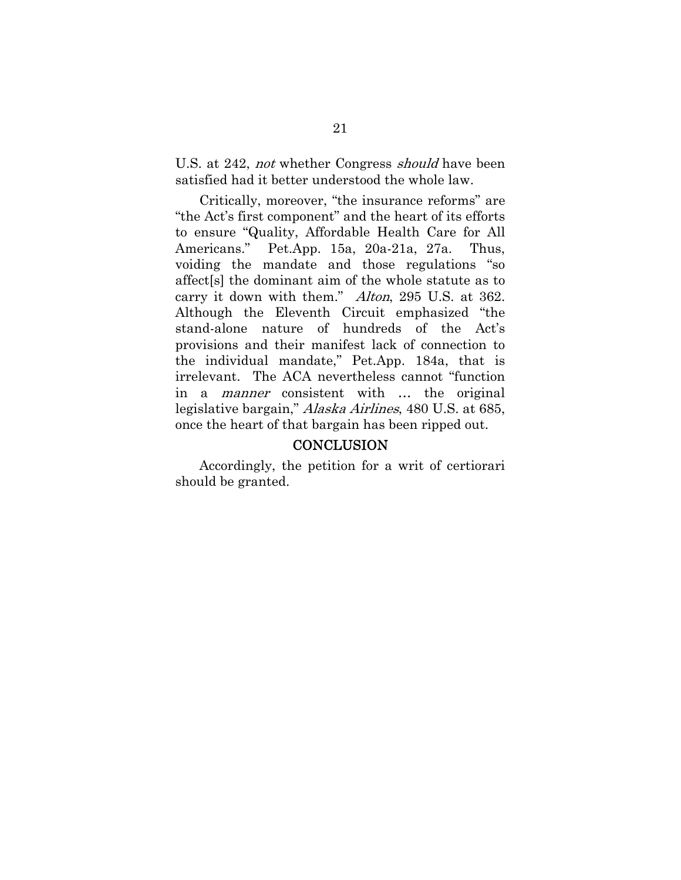U.S. at 242, *not* whether Congress *should* have been satisfied had it better understood the whole law.

Critically, moreover, "the insurance reforms" are "the Act's first component" and the heart of its efforts to ensure "Quality, Affordable Health Care for All Americans." Pet.App. 15a, 20a-21a, 27a. Thus, voiding the mandate and those regulations "so affect[s] the dominant aim of the whole statute as to carry it down with them." Alton, 295 U.S. at 362. Although the Eleventh Circuit emphasized "the stand-alone nature of hundreds of the Act's provisions and their manifest lack of connection to the individual mandate," Pet.App. 184a, that is irrelevant. The ACA nevertheless cannot "function in a manner consistent with … the original legislative bargain," Alaska Airlines, 480 U.S. at 685, once the heart of that bargain has been ripped out.

#### **CONCLUSION**

Accordingly, the petition for a writ of certiorari should be granted.